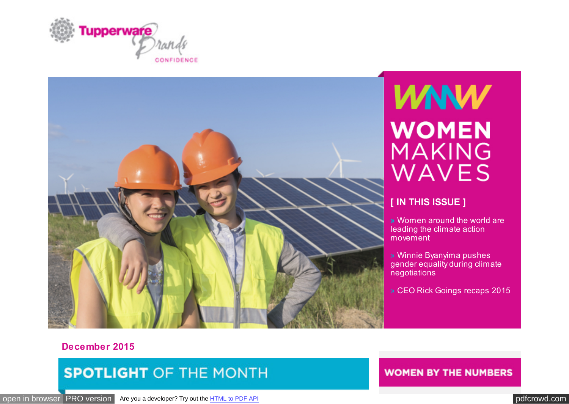<span id="page-0-0"></span>



# **VANW WOMEN MAKING** WAVES

## **[ IN THIS ISSUE ]**

**»** Women around the world are leading the climate action movement

» Winnie Byanyima pushes gender equality during climate negotiations

» CEO Rick Goings recaps 2015

#### **December 2015**

# **SPOTLIGHT OF THE MONTH**

[open in browser](http://pdfcrowd.com/redirect/?url=https%3a%2f%2ft.e2ma.net%2fshare%2finbound%2ft%2fpwl0s%2fldkrsu&id=ma-160105150004-5a6c9869) [PRO version](http://pdfcrowd.com/customize/) Are you a developer? Try out th[e HTML to PDF API](http://pdfcrowd.com/html-to-pdf-api/?ref=pdf) position and the Second Area of the MTML to PDF API position and the MTML to PDF API position and the MTML to PDF API position and the MTML to PD

### **WOMEN BY THE NUMBERS**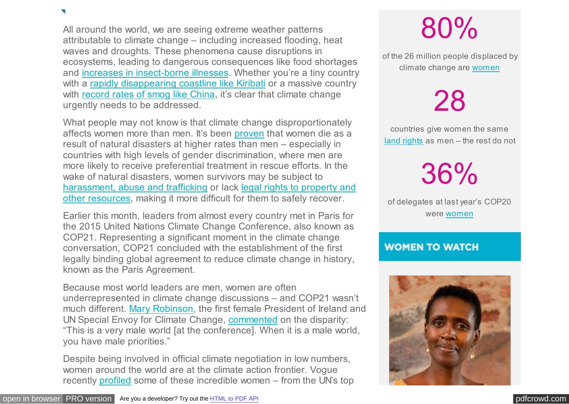All around the world, we are seeing extreme weather patterns attributable to climate change – including increased flooding, heat waves and droughts. These phenomena cause disruptions in ecosystems, leading to dangerous consequences like food shortages and increases in insect-borne illnesses. Whether you're a tiny country with a [rapidly disappearing coastline like Kiribati](http://www.upworthy.com/the-president-of-this-island-nation-just-gave-an-unusual-thank-you-for-a-sobering-reason) or a massive country with [record rates of smog like China,](http://www.nytimes.com/2015/12/09/world/asia/beijing-smog-pollution.html?partner=rss&emc=rss&_r=1) it's clear that climate change urgently needs to be addressed.

What people may not know is that climate change disproportionately affects women more than men. It's been [proven](http://www.lse.ac.uk/newsAndMedia/news/archives/2006/WomenAndNaturalDisasters.aspx) that women die as a result of natural disasters at higher rates than men – especially in countries with high levels of gender discrimination, where men are more likely to receive preferential treatment in rescue efforts. In the wake of natural disasters, women survivors may be subject to [harassment, abuse and trafficking or lack legal rights to property and](http://www.theguardian.com/commentisfree/2015/dec/01/women-victims-climate-change-keys-climate-action) other resources, making it more difficult for them to safely recover.

Earlier this month, leaders from almost every country met in Paris for the 2015 United Nations Climate Change Conference, also known as COP21. Representing a significant moment in the climate change conversation, COP21 concluded with the establishment of the first legally binding global agreement to reduce climate change in history, known as the Paris Agreement.

Because most world leaders are men, women are often underrepresented in climate change discussions – and COP21 wasn't much different. [Mary Robinson,](http://www.dw.com/en/mary-robinson-un-special-envoy-for-climate-change-ireland/a-18907689) the first female President of Ireland and UN Special Envoy for Climate Change, [commented](http://www.theguardian.com/environment/2015/dec/08/cop21-is-too-male-dominated-and-has-male-priorities-says-un-special-envoy) on the disparity: "This is a very male world [at the conference]. When it is a male world, you have male priorities."

Despite being involved in official climate negotiation in low numbers, women around the world are at the climate action frontier. Vogue recently [profiled](http://www.vogue.com/projects/13373340/climate-change-summit-women-cop21-warriors-global-warming/) some of these incredible women – from the UN's top

# 80%

of the 26 million people displaced by climate change are [women](http://ecowatch.com/2015/09/24/women-climate-change/)

# 28

countries give women the same [land rights](http://www.fastcoexist.com/3054564/are-women-the-key-to-solving-climate-change?utm_source) as men – the rest do not

# 36%

of delegates at last year's COP20 were [women](http://unfccc.int/resource/docs/2014/cop20/eng/07.pdf)

## **WOMEN TO WATCH**

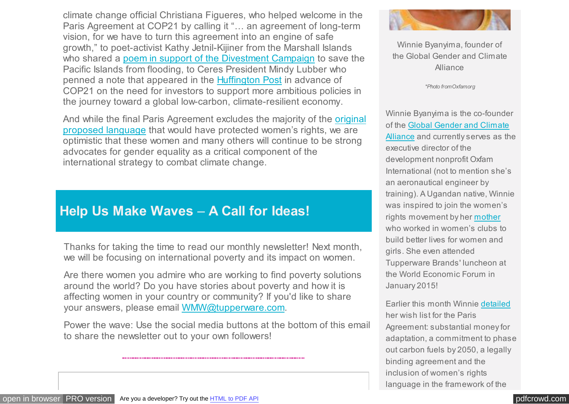climate change official Christiana Figueres, who helped welcome in the Paris Agreement at COP21 by calling it "… an agreement of long-term vision, for we have to turn this agreement into an engine of safe growth," to poet-activist Kathy Jetnil-Kijiner from the Marshall Islands who shared a [poem in support of the Divestment Campaign](http://www.democracynow.org/2015/12/2/marshall_islands_poet_to_the_un) to save the Pacific Islands from flooding, to Ceres President Mindy Lubber who penned a note that appeared in the [Huffington Post](http://www.huffingtonpost.com/we-mean-business/investors-urge-world-lead_b_8312080.html) in advance of COP21 on the need for investors to support more ambitious policies in the journey toward a global low-carbon, climate-resilient economy.

[And while the final Paris Agreement excludes the majority of the original](http://www.upworthy.com/how-a-disagreement-over-human-rights-language-almost-derailed-the-climate-change-treaty) proposed language that would have protected women's rights, we are optimistic that these women and many others will continue to be strong advocates for gender equality as a critical component of the international strategy to combat climate change.

# **Help Us Make Waves** – **A Call for Ideas!**

Thanks for taking the time to read our monthly newsletter! Next month, we will be focusing on international poverty and its impact on women.

Are there women you admire who are working to find poverty solutions around the world? Do you have stories about poverty and how it is affecting women in your country or community? If you'd like to share your answers, please email [WMW@tupperware.com.](mailto:WMW@tupperware.com)

Power the wave: Use the social media buttons at the bottom of this email to share the newsletter out to your own followers!



Winnie Byanyima, founder of the Global Gender and Climate Alliance

*\*Photo from Oxfam.org*

Winnie Byanyima is the co-founder of the Global Gender and Climate [Alliance and currently serves as th](http://gender-climate.org/)e executive director of the development nonprofit Oxfam International (not to mention she's an aeronautical engineer by training). A Ugandan native, Winnie was inspired to join the women's rights movement by her [mother](http://www.theguardian.com/global-development/2015/dec/10/women-injustice-climate-change-thoughts-from-the-paris-talks) who worked in women's clubs to build better lives for women and girls. She even attended Tupperware Brands' luncheon at the World Economic Forum in January 2015!

Earlier this month Winnie [detailed](https://www.devex.com/news/cop21-working-toward-a-deal-for-the-poorest-and-most-vulnerable-87463) her wish list for the Paris Agreement: substantial money for adaptation, a commitment to phase out carbon fuels by 2050, a legally binding agreement and the inclusion of women's rights language in the framework of the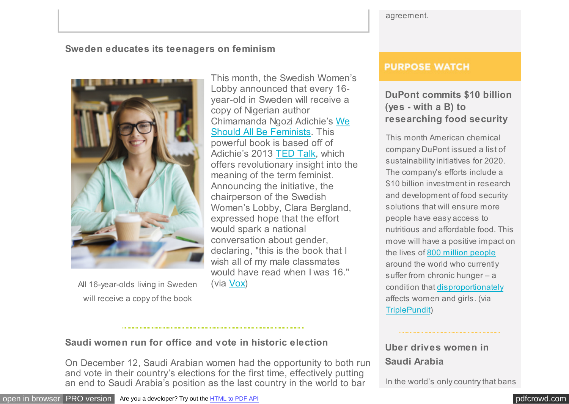#### agreement.

#### **Sweden educates its teenagers on feminism**



All 16-year-olds living in Sweden will receive a copy of the book

This month, the Swedish Women's Lobby announced that every 16 year-old in Sweden will receive a copy of Nigerian author [Chimamanda Ngozi Adichie's We](https://www.goodreads.com/book/show/22738563-we-should-all-be-feminists) Should All Be Feminists. This powerful book is based off of Adichie's 2013 [TED Talk,](http://tedxtalks.ted.com/video/We-should-all-be-feminists-Chim) which offers revolutionary insight into the meaning of the term feminist. Announcing the initiative, the chairperson of the Swedish Women's Lobby, Clara Bergland, expressed hope that the effort would spark a national conversation about gender, declaring, "this is the book that I wish all of my male classmates would have read when I was 16." (via [Vox\)](http://www.vox.com/2015/12/7/9859150/chimamanda-adichie-feminism-sweden)

#### **PURPOSE WATCH**

## **DuPont commits \$10 billion (yes - with a B) to researching food security**

This month American chemical company DuPont issued a list of sustainability initiatives for 2020. The company's efforts include a \$10 billion investment in research and development of food security solutions that will ensure more people have easy access to nutritious and affordable food. This move will have a positive impact on the lives of [800 million people](http://www.justmeans.com/blogs/dupont-commits-10b-investment-in-sustainable-food-rd) around the world who currently suffer from chronic hunger – a condition that [disproportionately](http://www.unwomen.org/en/news/in-focus/commission-on-the-status-of-women-2012/facts-and-figures) affects women and girls. (via [TriplePundit\)](http://www.triplepundit.com/2015/12/dupont-commits-10-billion-food-security-research/)

# **Uber drives women in Saudi Arabia**

In the world's only country that bans

## **Saudi women run for office and vote in historic election**

On December 12, Saudi Arabian women had the opportunity to both run and vote in their country's elections for the first time, effectively putting an end to Saudi Arabia's position as the last country in the world to bar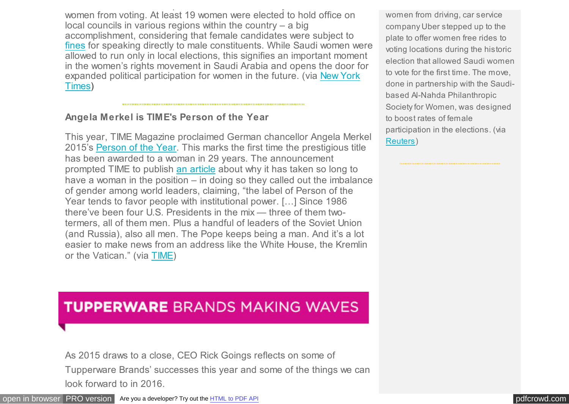an end to Saudi Arabia's position as the last country in the world to bar women from voting. At least 19 women were elected to hold office on local councils in various regions within the country – a big accomplishment, considering that female candidates were subject to [fines](http://mashable.com/2015/12/12/saudi-arabia-women-elections/#xdPQpiAP9iqL) for speaking directly to male constituents. While Saudi women were allowed to run only in local elections, this signifies an important moment in the women's rights movement in Saudi Arabia and opens the door for [expanded political participation for women in the future. \(via](http://www.nytimes.com/2015/12/14/world/middleeast/saudi-arabia-women-elections.html?_r=0) New York Times)

### **Angela Merkel is TIME's Person of the Year**

This year, TIME Magazine proclaimed German chancellor Angela Merkel 2015's [Person of the Year.](http://time.com/time-person-of-the-year-2015-angela-merkel/) This marks the first time the prestigious title has been awarded to a woman in 29 years. The announcement prompted TIME to publish [an article](http://time.com/4141766/time-person-of-the-year-angela-merkel-women/) about why it has taken so long to have a woman in the position – in doing so they called out the imbalance of gender among world leaders, claiming, "the label of Person of the Year tends to favor people with institutional power. […] Since 1986 there've been four U.S. Presidents in the mix — three of them twotermers, all of them men. Plus a handful of leaders of the Soviet Union (and Russia), also all men. The Pope keeps being a man. And it's a lot easier to make news from an address like the White House, the Kremlin or the Vatican." (via [TIME\)](http://time.com/time-person-of-the-year-2015-angela-merkel/)

# **TUPPERWARE BRANDS MAKING WAVES**

As 2015 draws to a close, CEO Rick Goings reflects on some of Tupperware Brands' successes this year and some of the things we can look forward to in 2016.

women from driving, car service company Uber stepped up to the plate to offer women free rides to voting locations during the historic election that allowed Saudi women to vote for the first time. The move, done in partnership with the Saudibased Al-Nahda Philanthropic Society for Women, was designed to boost rates of female participation in the elections. (via [Reuters\)](http://www.reuters.com/article/us-saudi-election-women-idUSKBN0TU2TU20151211)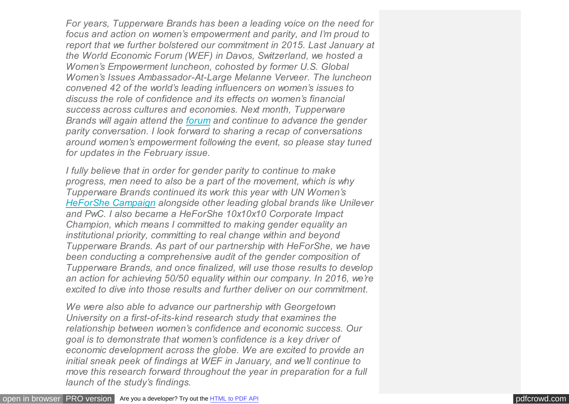*For years, Tupperware Brands has been a leading voice on the need for focus and action on women's empowerment and parity, and I'm proud to report that we further bolstered our commitment in 2015. Last January at the World Economic Forum (WEF) in Davos, Switzerland, we hosted a Women's Empowerment luncheon, cohosted by former U.S. Global Women's Issues Ambassador-At-Large Melanne Verveer. The luncheon convened 42 of the world's leading influencers on women's issues to discuss the role of confidence and its effects on women's financial success across cultures and economies. Next month, Tupperware Brands will again attend the [forum](http://www3.weforum.org/docs/WEF_AM16_Programme.pdf) and continue to advance the gender parity conversation. I look forward to sharing a recap of conversations around women's empowerment following the event, so please stay tuned for updates in the February issue.*

*I fully believe that in order for gender parity to continue to make progress, men need to also be a part of the movement, which is why Tupperware Brands continued its work this year with UN Women's [HeForShe Campaign](http://www.heforshe.org/) alongside other leading global brands like Unilever and PwC. I also became a HeForShe 10x10x10 Corporate Impact Champion, which means I committed to making gender equality an institutional priority, committing to real change within and beyond Tupperware Brands. As part of our partnership with HeForShe, we have been conducting a comprehensive audit of the gender composition of Tupperware Brands, and once finalized, will use those results to develop an action for achieving 50/50 equality within our company. In 2016, we're excited to dive into those results and further deliver on our commitment.*

*We were also able to advance our partnership with Georgetown University on a first-of-its-kind research study that examines the relationship between women's confidence and economic success. Our goal is to demonstrate that women's confidence is a key driver of economic development across the globe. We are excited to provide an initial sneak peek of findings at WEF in January, and we'll continue to move this research forward throughout the year in preparation for a full launch of the study's findings.*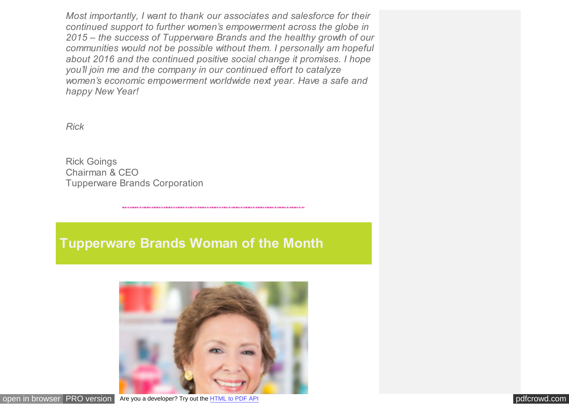*Most importantly, I want to thank our associates and salesforce for their continued support to further women's empowerment across the globe in 2015 – the success of Tupperware Brands and the healthy growth of our communities would not be possible without them. I personally am hopeful about 2016 and the continued positive social change it promises. I hope you'll join me and the company in our continued effort to catalyze women's economic empowerment worldwide next year. Have a safe and happy New Year!*

*Rick* 

Rick Goings Chairman & CEO Tupperware Brands Corporation

# **Tupperware Brands Woman of the Month**



[open in browser](http://pdfcrowd.com/redirect/?url=https%3a%2f%2ft.e2ma.net%2fshare%2finbound%2ft%2fpwl0s%2fldkrsu&id=ma-160105150004-5a6c9869) [PRO version](http://pdfcrowd.com/customize/) Are you a developer? Try out th[e HTML to PDF API](http://pdfcrowd.com/html-to-pdf-api/?ref=pdf) provided and the ATML to PDF API [pdfcrowd.com](http://pdfcrowd.com)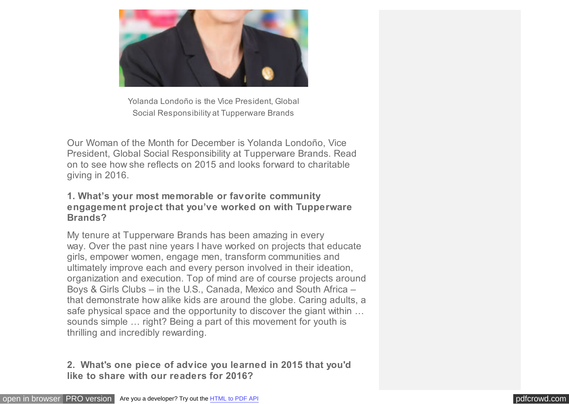

Yolanda Londoño is the Vice President, Global Social Responsibility at Tupperware Brands

Our Woman of the Month for December is Yolanda Londoño, Vice President, Global Social Responsibility at Tupperware Brands. Read on to see how she reflects on 2015 and looks forward to charitable giving in 2016.

### **1. What's your most memorable or favorite community engagement project that you've worked on with Tupperware Brands?**

My tenure at Tupperware Brands has been amazing in every way. Over the past nine years I have worked on projects that educate girls, empower women, engage men, transform communities and ultimately improve each and every person involved in their ideation, organization and execution. Top of mind are of course projects around Boys & Girls Clubs – in the U.S., Canada, Mexico and South Africa – that demonstrate how alike kids are around the globe. Caring adults, a safe physical space and the opportunity to discover the giant within … sounds simple … right? Being a part of this movement for youth is thrilling and incredibly rewarding.

**2. What's one piece of advice you learned in 2015 that you'd like to share with our readers for 2016?**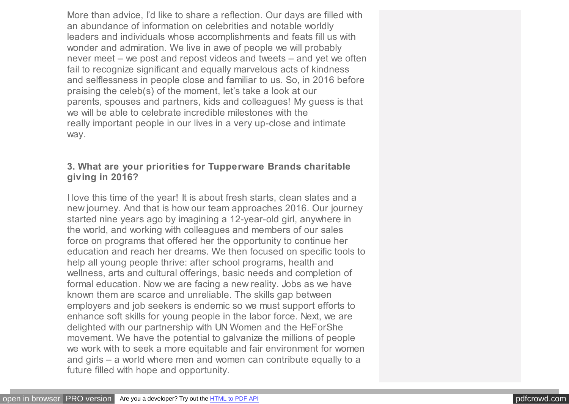More than advice, I'd like to share a reflection. Our days are filled with an abundance of information on celebrities and notable worldly leaders and individuals whose accomplishments and feats fill us with wonder and admiration. We live in awe of people we will probably never meet – we post and repost videos and tweets – and yet we often fail to recognize significant and equally marvelous acts of kindness and selflessness in people close and familiar to us. So, in 2016 before praising the celeb(s) of the moment, let's take a look at our parents, spouses and partners, kids and colleagues! My guess is that we will be able to celebrate incredible milestones with the really important people in our lives in a very up-close and intimate way.

### **3. What are your priorities for Tupperware Brands charitable giving in 2016?**

I love this time of the year! It is about fresh starts, clean slates and a new journey. And that is how our team approaches 2016. Our journey started nine years ago by imagining a 12-year-old girl, anywhere in the world, and working with colleagues and members of our sales force on programs that offered her the opportunity to continue her education and reach her dreams. We then focused on specific tools to help all young people thrive: after school programs, health and wellness, arts and cultural offerings, basic needs and completion of formal education. Now we are facing a new reality. Jobs as we have known them are scarce and unreliable. The skills gap between employers and job seekers is endemic so we must support efforts to enhance soft skills for young people in the labor force. Next, we are delighted with our partnership with UN Women and the HeForShe movement. We have the potential to galvanize the millions of people we work with to seek a more equitable and fair environment for women and girls – a world where men and women can contribute equally to a future filled with hope and opportunity.